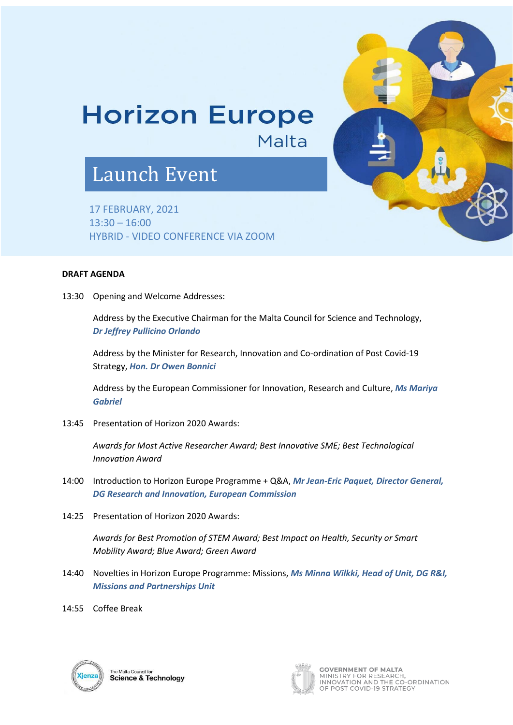## **Horizon Europe**

Malta

## Launch Event

17 FEBRUARY, 2021 13:30 – 16:00 HYBRID - VIDEO CONFERENCE VIA ZOOM

## **DRAFT AGENDA**

13:30 Opening and Welcome Addresses:

Address by the Executive Chairman for the Malta Council for Science and Technology, *Dr Jeffrey Pullicino Orlando*

Address by the Minister for Research, Innovation and Co-ordination of Post Covid-19 Strategy, *Hon. Dr Owen Bonnici*

Address by the European Commissioner for Innovation, Research and Culture, *Ms Mariya Gabriel*

13:45 Presentation of Horizon 2020 Awards:

*Awards for Most Active Researcher Award; Best Innovative SME; Best Technological Innovation Award*

- 14:00 Introduction to Horizon Europe Programme + Q&A, *Mr Jean-Eric Paquet, Director General, DG Research and Innovation, European Commission*
- 14:25 Presentation of Horizon 2020 Awards:

*Awards for Best Promotion of STEM Award; Best Impact on Health, Security or Smart Mobility Award; Blue Award; Green Award*

- 14:40 Novelties in Horizon Europe Programme: Missions, *Ms Minna Wilkki, Head of Unit, DG R&I, Missions and Partnerships Unit*
- 14:55 Coffee Break